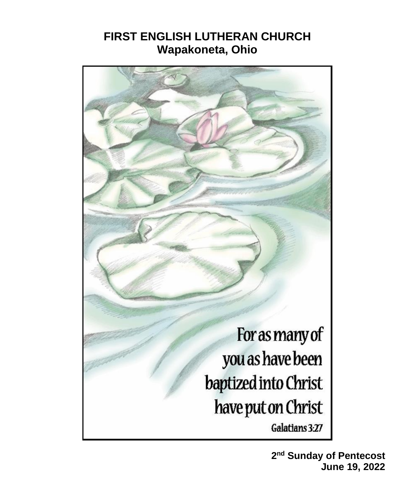# **FIRST ENGLISH LUTHERAN CHURCH Wapakoneta, Ohio**



**2 nd Sunday of Pentecost June 19, 2022**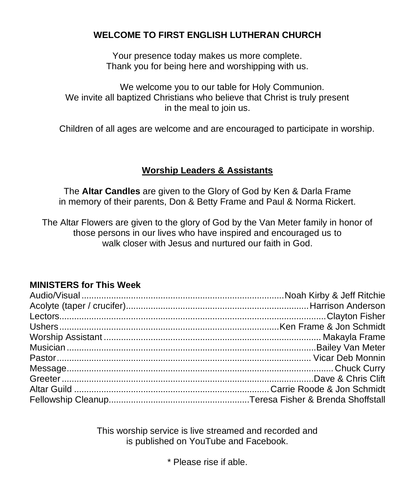#### **WELCOME TO FIRST ENGLISH LUTHERAN CHURCH**

Your presence today makes us more complete. Thank you for being here and worshipping with us.

We welcome you to our table for Holy Communion. We invite all baptized Christians who believe that Christ is truly present in the meal to join us.

Children of all ages are welcome and are encouraged to participate in worship.

#### **Worship Leaders & Assistants**

The **Altar Candles** are given to the Glory of God by Ken & Darla Frame in memory of their parents, Don & Betty Frame and Paul & Norma Rickert.

The Altar Flowers are given to the glory of God by the Van Meter family in honor of those persons in our lives who have inspired and encouraged us to walk closer with Jesus and nurtured our faith in God.

#### **MINISTERS for This Week**

This worship service is live streamed and recorded and is published on YouTube and Facebook.

\* Please rise if able.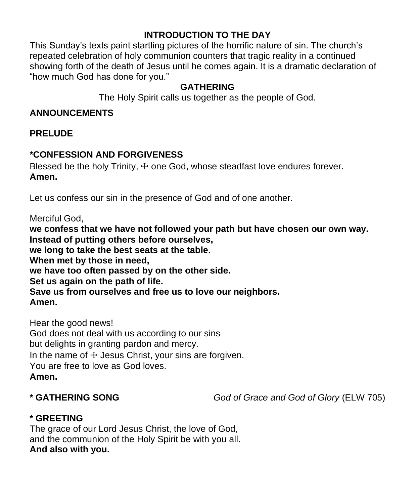### **INTRODUCTION TO THE DAY**

This Sunday's texts paint startling pictures of the horrific nature of sin. The church's repeated celebration of holy communion counters that tragic reality in a continued showing forth of the death of Jesus until he comes again. It is a dramatic declaration of "how much God has done for you."

#### **GATHERING**

The Holy Spirit calls us together as the people of God.

#### **ANNOUNCEMENTS**

**PRELUDE**

### **\*CONFESSION AND FORGIVENESS**

Blessed be the holy Trinity,  $\pm$  one God, whose steadfast love endures forever. **Amen.**

Let us confess our sin in the presence of God and of one another.

Merciful God,

**we confess that we have not followed your path but have chosen our own way. Instead of putting others before ourselves, we long to take the best seats at the table. When met by those in need, we have too often passed by on the other side. Set us again on the path of life. Save us from ourselves and free us to love our neighbors. Amen.**

Hear the good news! God does not deal with us according to our sins but delights in granting pardon and mercy. In the name of  $\pm$  Jesus Christ, your sins are forgiven. You are free to love as God loves. **Amen.**

**\* GATHERING SONG** *God of Grace and God of Glory* (ELW 705)

### **\* GREETING**

The grace of our Lord Jesus Christ, the love of God, and the communion of the Holy Spirit be with you all. **And also with you.**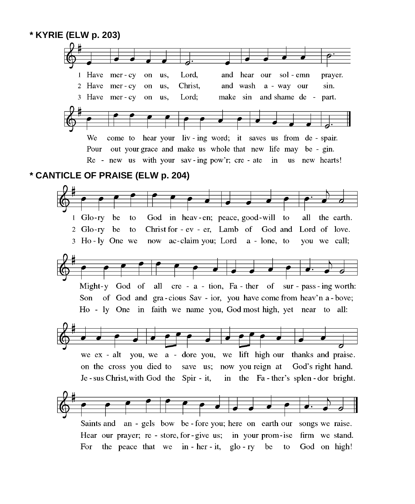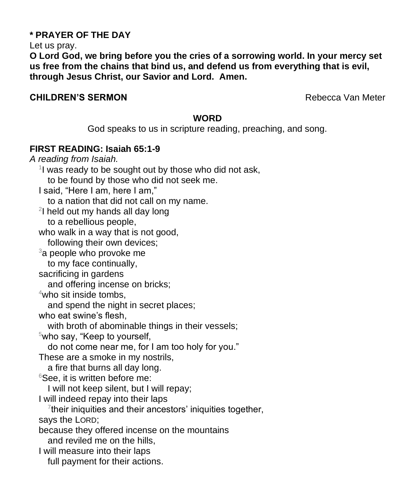#### **\* PRAYER OF THE DAY**

Let us pray.

**O Lord God, we bring before you the cries of a sorrowing world. In your mercy set us free from the chains that bind us, and defend us from everything that is evil, through Jesus Christ, our Savior and Lord. Amen.**

#### **CHILDREN'S SERMON Rebecca Van Meter**

#### **WORD**

God speaks to us in scripture reading, preaching, and song.

#### **FIRST READING: Isaiah 65:1-9**

*A reading from Isaiah.* <sup>1</sup>I was ready to be sought out by those who did not ask, to be found by those who did not seek me. I said, "Here I am, here I am," to a nation that did not call on my name. <sup>2</sup>I held out my hands all day long to a rebellious people, who walk in a way that is not good, following their own devices;  $3a$  people who provoke me to my face continually, sacrificing in gardens and offering incense on bricks;  $4$ who sit inside tombs. and spend the night in secret places; who eat swine's flesh, with broth of abominable things in their vessels;  $5$ who say, "Keep to yourself, do not come near me, for I am too holy for you." These are a smoke in my nostrils, a fire that burns all day long.  $6$ See, it is written before me: I will not keep silent, but I will repay; I will indeed repay into their laps <sup>7</sup>their iniquities and their ancestors' iniquities together, says the LORD; because they offered incense on the mountains and reviled me on the hills, I will measure into their laps full payment for their actions.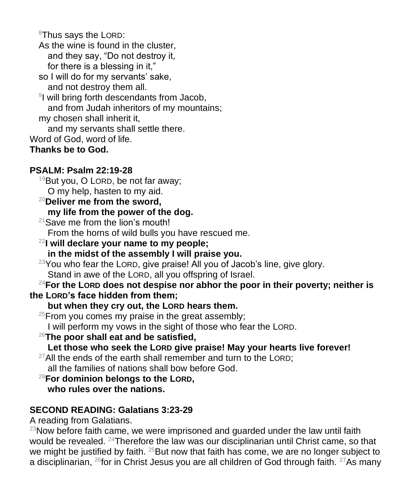8Thus says the LORD:

- As the wine is found in the cluster, and they say, "Do not destroy it, for there is a blessing in it,"
- so I will do for my servants' sake, and not destroy them all.
- 9 I will bring forth descendants from Jacob, and from Judah inheritors of my mountains; my chosen shall inherit it,
- and my servants shall settle there.
- Word of God, word of life.

# **Thanks be to God.**

# **PSALM: Psalm 22:19-28**

- $19$ But you, O LORD, be not far away;
- O my help, hasten to my aid.
- <sup>20</sup>**Deliver me from the sword, my life from the power of the dog.**
- <sup>21</sup> Save me from the lion's mouth!
	- From the horns of wild bulls you have rescued me.
- <sup>22</sup>**I will declare your name to my people;**
	- **in the midst of the assembly I will praise you.**
- <sup>23</sup>You who fear the LORD, give praise! All you of Jacob's line, give glory. Stand in awe of the LORD, all you offspring of Israel.

### <sup>24</sup>**For the LORD does not despise nor abhor the poor in their poverty; neither is the LORD's face hidden from them;**

# **but when they cry out, the LORD hears them.**

- $25$ From you comes my praise in the great assembly;
- I will perform my vows in the sight of those who fear the LORD.
- <sup>26</sup>**The poor shall eat and be satisfied,**

# **Let those who seek the LORD give praise! May your hearts live forever!**

- $27$ All the ends of the earth shall remember and turn to the LORD; all the families of nations shall bow before God.
- <sup>28</sup>**For dominion belongs to the LORD, who rules over the nations.**

# **SECOND READING: Galatians 3:23-29**

A reading from Galatians.

 $23$ Now before faith came, we were imprisoned and guarded under the law until faith would be revealed. <sup>24</sup>Therefore the law was our disciplinarian until Christ came, so that we might be justified by faith.  $25$ But now that faith has come, we are no longer subject to a disciplinarian,  $^{26}$ for in Christ Jesus you are all children of God through faith.  $^{27}$ As many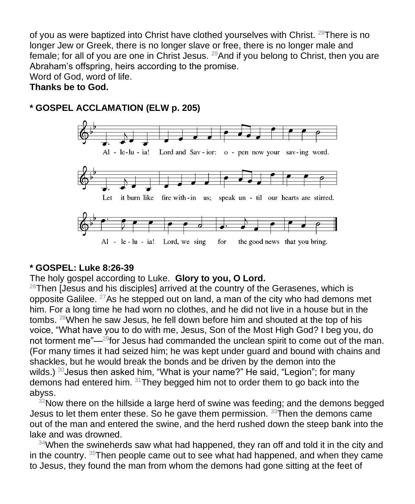of you as were baptized into Christ have clothed yourselves with Christ.  $^{28}$ There is no longer Jew or Greek, there is no longer slave or free, there is no longer male and female; for all of you are one in Christ Jesus. <sup>29</sup>And if you belong to Christ, then you are Abraham's offspring, heirs according to the promise.

Word of God, word of life.

#### **Thanks be to God.**

#### **\* GOSPEL ACCLAMATION (ELW p. 205)**



#### **\* GOSPEL: Luke 8:26-39**

The holy gospel according to Luke. **Glory to you, O Lord.**

 $26$ Then [Jesus and his disciples] arrived at the country of the Gerasenes, which is opposite Galilee.  $27$ As he stepped out on land, a man of the city who had demons met him. For a long time he had worn no clothes, and he did not live in a house but in the tombs. <sup>28</sup>When he saw Jesus, he fell down before him and shouted at the top of his voice, "What have you to do with me, Jesus, Son of the Most High God? I beg you, do not torment me"—<sup>29</sup>for Jesus had commanded the unclean spirit to come out of the man. (For many times it had seized him; he was kept under guard and bound with chains and shackles, but he would break the bonds and be driven by the demon into the wilds.) <sup>30</sup> Jesus then asked him, "What is your name?" He said, "Legion"; for many demons had entered him. <sup>31</sup>They begged him not to order them to go back into the abyss.

 $32$ Now there on the hillside a large herd of swine was feeding; and the demons begged Jesus to let them enter these. So he gave them permission.  $33$ Then the demons came out of the man and entered the swine, and the herd rushed down the steep bank into the lake and was drowned.

 $34$ When the swineherds saw what had happened, they ran off and told it in the city and in the country. <sup>35</sup>Then people came out to see what had happened, and when they came to Jesus, they found the man from whom the demons had gone sitting at the feet of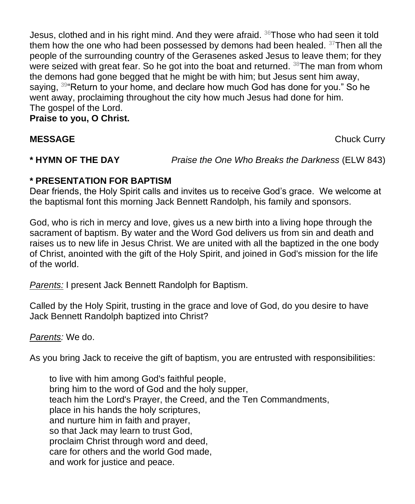Jesus, clothed and in his right mind. And they were afraid. <sup>36</sup>Those who had seen it told them how the one who had been possessed by demons had been healed. <sup>37</sup>Then all the people of the surrounding country of the Gerasenes asked Jesus to leave them; for they were seized with great fear. So he got into the boat and returned. <sup>38</sup>The man from whom the demons had gone begged that he might be with him; but Jesus sent him away, saying, <sup>39</sup> Return to your home, and declare how much God has done for you." So he went away, proclaiming throughout the city how much Jesus had done for him. The gospel of the Lord. **Praise to you, O Christ.**

**MESSAGE** Chuck Curry **Chuck Curry** 

**\* HYMN OF THE DAY** *Praise the One Who Breaks the Darkness* (ELW 843)

#### **\* PRESENTATION FOR BAPTISM**

Dear friends, the Holy Spirit calls and invites us to receive God's grace. We welcome at the baptismal font this morning Jack Bennett Randolph, his family and sponsors.

God, who is rich in mercy and love, gives us a new birth into a living hope through the sacrament of baptism. By water and the Word God delivers us from sin and death and raises us to new life in Jesus Christ. We are united with all the baptized in the one body of Christ, anointed with the gift of the Holy Spirit, and joined in God's mission for the life of the world.

*Parents:* I present Jack Bennett Randolph for Baptism.

Called by the Holy Spirit, trusting in the grace and love of God, do you desire to have Jack Bennett Randolph baptized into Christ?

*Parents:* We do.

As you bring Jack to receive the gift of baptism, you are entrusted with responsibilities:

to live with him among God's faithful people, bring him to the word of God and the holy supper, teach him the Lord's Prayer, the Creed, and the Ten Commandments, place in his hands the holy scriptures, and nurture him in faith and prayer, so that Jack may learn to trust God, proclaim Christ through word and deed, care for others and the world God made, and work for justice and peace.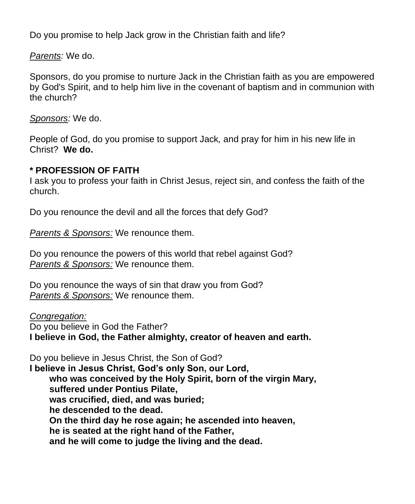Do you promise to help Jack grow in the Christian faith and life?

*Parents:* We do.

Sponsors, do you promise to nurture Jack in the Christian faith as you are empowered by God's Spirit, and to help him live in the covenant of baptism and in communion with the church?

*Sponsors:* We do.

People of God, do you promise to support Jack*,* and pray for him in his new life in Christ? **We do.**

#### **\* PROFESSION OF FAITH**

I ask you to profess your faith in Christ Jesus, reject sin, and confess the faith of the church.

Do you renounce the devil and all the forces that defy God?

*Parents & Sponsors:* We renounce them.

Do you renounce the powers of this world that rebel against God? *Parents & Sponsors:* We renounce them.

Do you renounce the ways of sin that draw you from God? *Parents & Sponsors:* We renounce them.

*Congregation:*

Do you believe in God the Father? **I believe in God, the Father almighty, creator of heaven and earth.**

Do you believe in Jesus Christ, the Son of God?

**I believe in Jesus Christ, God's only Son, our Lord, who was conceived by the Holy Spirit, born of the virgin Mary, suffered under Pontius Pilate, was crucified, died, and was buried; he descended to the dead. On the third day he rose again; he ascended into heaven, he is seated at the right hand of the Father, and he will come to judge the living and the dead.**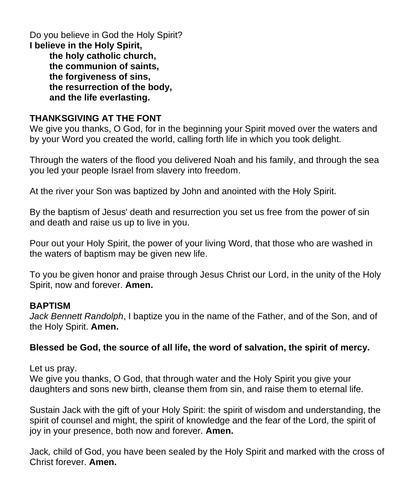Do you believe in God the Holy Spirit? **I believe in the Holy Spirit, the holy catholic church, the communion of saints, the forgiveness of sins, the resurrection of the body, and the life everlasting.**

#### **THANKSGIVING AT THE FONT**

We give you thanks, O God, for in the beginning your Spirit moved over the waters and by your Word you created the world, calling forth life in which you took delight.

Through the waters of the flood you delivered Noah and his family, and through the sea you led your people Israel from slavery into freedom.

At the river your Son was baptized by John and anointed with the Holy Spirit.

By the baptism of Jesus' death and resurrection you set us free from the power of sin and death and raise us up to live in you.

Pour out your Holy Spirit, the power of your living Word, that those who are washed in the waters of baptism may be given new life.

To you be given honor and praise through Jesus Christ our Lord, in the unity of the Holy Spirit, now and forever. **Amen.**

#### **BAPTISM**

*Jack Bennett Randolph*, I baptize you in the name of the Father, and of the Son, and of the Holy Spirit. **Amen.**

#### **Blessed be God, the source of all life, the word of salvation, the spirit of mercy.**

Let us pray.

We give you thanks, O God, that through water and the Holy Spirit you give your daughters and sons new birth, cleanse them from sin, and raise them to eternal life.

Sustain Jack with the gift of your Holy Spirit: the spirit of wisdom and understanding, the spirit of counsel and might, the spirit of knowledge and the fear of the Lord, the spirit of joy in your presence, both now and forever. **Amen.**

Jack*,* child of God, you have been sealed by the Holy Spirit and marked with the cross of Christ forever. **Amen.**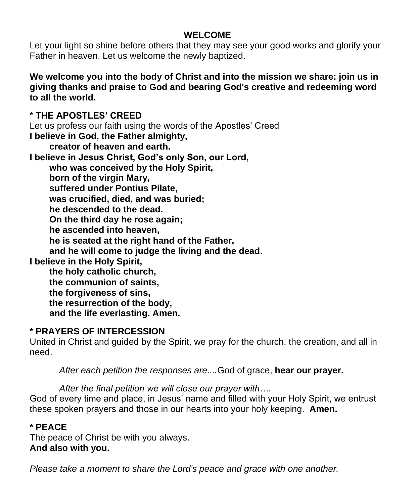#### **WELCOME**

Let your light so shine before others that they may see your good works and glorify your Father in heaven. Let us welcome the newly baptized.

**We welcome you into the body of Christ and into the mission we share: join us in giving thanks and praise to God and bearing God's creative and redeeming word to all the world.**

**\* THE APOSTLES' CREED**

Let us profess our faith using the words of the Apostles' Creed

**I believe in God, the Father almighty,**

**creator of heaven and earth.**

**I believe in Jesus Christ, God's only Son, our Lord,**

**who was conceived by the Holy Spirit,**

**born of the virgin Mary,**

**suffered under Pontius Pilate,**

**was crucified, died, and was buried;**

**he descended to the dead.**

**On the third day he rose again;**

**he ascended into heaven,**

**he is seated at the right hand of the Father,**

**and he will come to judge the living and the dead.**

**I believe in the Holy Spirit,**

**the holy catholic church, the communion of saints, the forgiveness of sins, the resurrection of the body, and the life everlasting. Amen.**

### **\* PRAYERS OF INTERCESSION**

United in Christ and guided by the Spirit, we pray for the church, the creation, and all in need.

*After each petition the responses are....*God of grace, **hear our prayer.**

*After the final petition we will close our prayer with….*

God of every time and place, in Jesus' name and filled with your Holy Spirit, we entrust these spoken prayers and those in our hearts into your holy keeping. **Amen.**

### **\* PEACE**

The peace of Christ be with you always. **And also with you.**

*Please take a moment to share the Lord's peace and grace with one another.*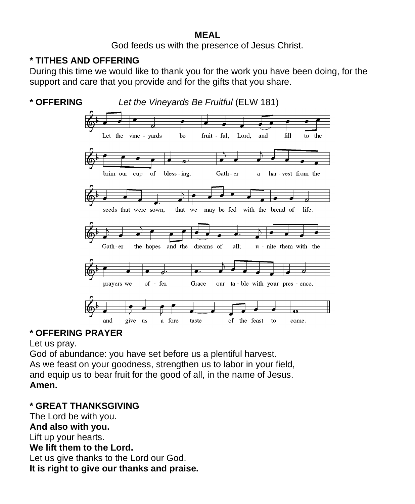#### **MEAL**

God feeds us with the presence of Jesus Christ.

# **\* TITHES AND OFFERING**

During this time we would like to thank you for the work you have been doing, for the support and care that you provide and for the gifts that you share.



### **\* OFFERING PRAYER**

Let us pray.

God of abundance: you have set before us a plentiful harvest. As we feast on your goodness, strengthen us to labor in your field, and equip us to bear fruit for the good of all, in the name of Jesus. **Amen.**

#### **\* GREAT THANKSGIVING**

The Lord be with you. **And also with you.** Lift up your hearts. **We lift them to the Lord.** Let us give thanks to the Lord our God. **It is right to give our thanks and praise.**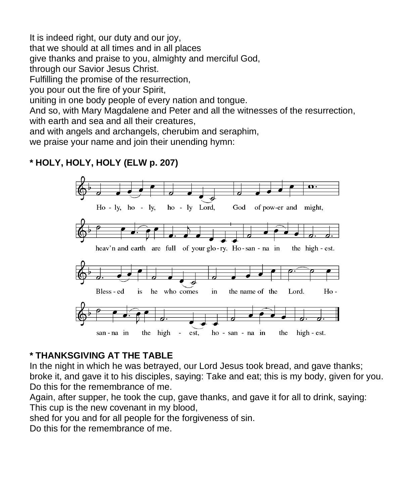It is indeed right, our duty and our joy, that we should at all times and in all places give thanks and praise to you, almighty and merciful God, through our Savior Jesus Christ. Fulfilling the promise of the resurrection, you pour out the fire of your Spirit, uniting in one body people of every nation and tongue. And so, with Mary Magdalene and Peter and all the witnesses of the resurrection,

with earth and sea and all their creatures,

and with angels and archangels, cherubim and seraphim,

we praise your name and join their unending hymn:

# **\* HOLY, HOLY, HOLY (ELW p. 207)**



### **\* THANKSGIVING AT THE TABLE**

In the night in which he was betrayed, our Lord Jesus took bread, and gave thanks; broke it, and gave it to his disciples, saying: Take and eat; this is my body, given for you. Do this for the remembrance of me.

Again, after supper, he took the cup, gave thanks, and gave it for all to drink, saying: This cup is the new covenant in my blood,

shed for you and for all people for the forgiveness of sin.

Do this for the remembrance of me.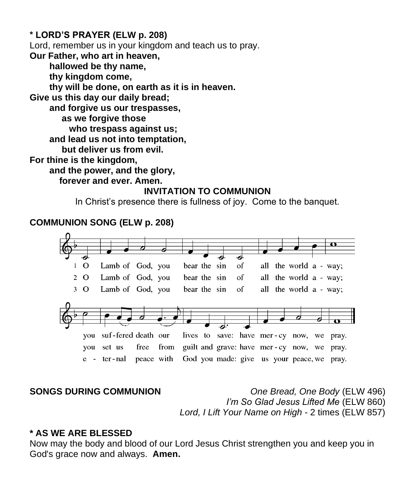#### **\* LORD'S PRAYER (ELW p. 208)**

Lord, remember us in your kingdom and teach us to pray.

**Our Father, who art in heaven,**

**hallowed be thy name,**

**thy kingdom come,**

**thy will be done, on earth as it is in heaven.**

**Give us this day our daily bread;**

**and forgive us our trespasses,**

 **as we forgive those**

**who trespass against us;**

**and lead us not into temptation,**

 **but deliver us from evil.**

**For thine is the kingdom,**

**and the power, and the glory,**

**forever and ever. Amen.**

#### **INVITATION TO COMMUNION**

In Christ's presence there is fullness of joy. Come to the banquet.

#### **COMMUNION SONG (ELW p. 208)**



**SONGS DURING COMMUNION** *One Bread, One Body* (ELW 496) *I'm So Glad Jesus Lifted Me* (ELW 860) *Lord, I Lift Your Name on High* - 2 times (ELW 857)

#### **\* AS WE ARE BLESSED**

Now may the body and blood of our Lord Jesus Christ strengthen you and keep you in God's grace now and always. **Amen.**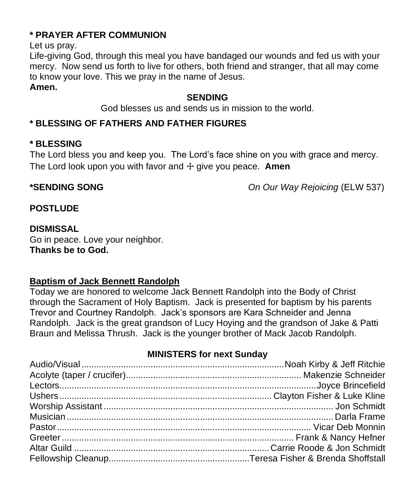### **\* PRAYER AFTER COMMUNION**

Let us pray.

Life-giving God, through this meal you have bandaged our wounds and fed us with your mercy. Now send us forth to live for others, both friend and stranger, that all may come to know your love. This we pray in the name of Jesus.

**Amen.**

#### **SENDING**

God blesses us and sends us in mission to the world.

# **\* BLESSING OF FATHERS AND FATHER FIGURES**

### **\* BLESSING**

The Lord bless you and keep you. The Lord's face shine on you with grace and mercy. The Lord look upon you with favor and ☩ give you peace. **Amen**

**\*SENDING SONG** *On Our Way Rejoicing* (ELW 537)

#### **POSTLUDE**

#### **DISMISSAL**

Go in peace. Love your neighbor. **Thanks be to God.**

#### **Baptism of Jack Bennett Randolph**

Today we are honored to welcome Jack Bennett Randolph into the Body of Christ through the Sacrament of Holy Baptism. Jack is presented for baptism by his parents Trevor and Courtney Randolph. Jack's sponsors are Kara Schneider and Jenna Randolph. Jack is the great grandson of Lucy Hoying and the grandson of Jake & Patti Braun and Melissa Thrush. Jack is the younger brother of Mack Jacob Randolph.

# **MINISTERS for next Sunday**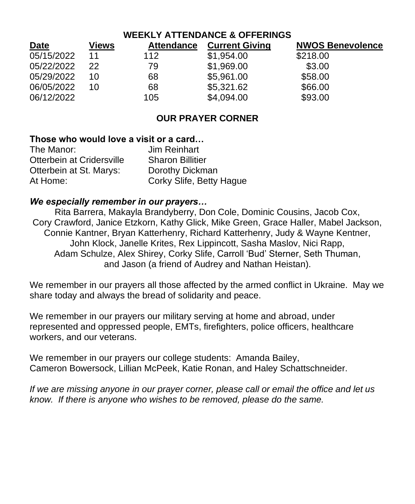| <b>WEEKLY ATTENDANCE &amp; OFFERINGS</b> |              |                   |                       |                         |
|------------------------------------------|--------------|-------------------|-----------------------|-------------------------|
| <b>Date</b>                              | <b>Views</b> | <b>Attendance</b> | <b>Current Giving</b> | <b>NWOS Benevolence</b> |
| 05/15/2022                               | 11           | 112               | \$1,954.00            | \$218.00                |
| 05/22/2022                               | 22           | 79                | \$1,969.00            | \$3.00                  |
| 05/29/2022                               | 10           | 68                | \$5,961.00            | \$58.00                 |
| 06/05/2022                               | 10           | 68                | \$5,321.62            | \$66.00                 |
| 06/12/2022                               |              | 105               | \$4,094.00            | \$93.00                 |

#### **OUR PRAYER CORNER**

#### **Those who would love a visit or a card…**

The Manor: Jim Reinhart Otterbein at Cridersville Sharon Billitier Otterbein at St. Marys: Dorothy Dickman At Home: Corky Slife, Betty Hague

#### *We especially remember in our prayers…*

Rita Barrera, Makayla Brandyberry, Don Cole, Dominic Cousins, Jacob Cox, Cory Crawford, Janice Etzkorn, Kathy Glick, Mike Green, Grace Haller, Mabel Jackson, Connie Kantner, Bryan Katterhenry, Richard Katterhenry, Judy & Wayne Kentner, John Klock, Janelle Krites, Rex Lippincott, Sasha Maslov, Nici Rapp, Adam Schulze, Alex Shirey, Corky Slife, Carroll 'Bud' Sterner, Seth Thuman, and Jason (a friend of Audrey and Nathan Heistan).

We remember in our prayers all those affected by the armed conflict in Ukraine. May we share today and always the bread of solidarity and peace.

We remember in our prayers our military serving at home and abroad, under represented and oppressed people, EMTs, firefighters, police officers, healthcare workers, and our veterans.

We remember in our prayers our college students: Amanda Bailey, Cameron Bowersock, Lillian McPeek, Katie Ronan, and Haley Schattschneider.

*If we are missing anyone in our prayer corner, please call or email the office and let us know. If there is anyone who wishes to be removed, please do the same.*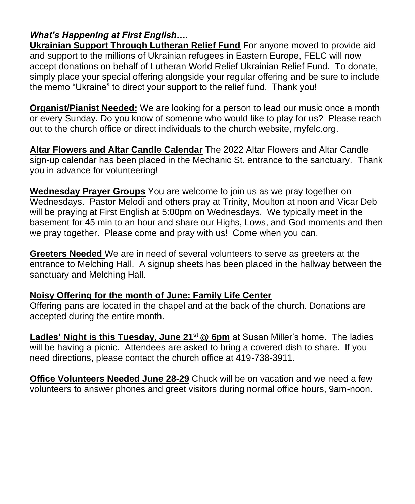# *What's Happening at First English….*

**Ukrainian Support Through Lutheran Relief Fund** For anyone moved to provide aid and support to the millions of Ukrainian refugees in Eastern Europe, FELC will now accept donations on behalf of Lutheran World Relief Ukrainian Relief Fund. To donate, simply place your special offering alongside your regular offering and be sure to include the memo "Ukraine" to direct your support to the relief fund. Thank you!

**Organist/Pianist Needed:** We are looking for a person to lead our music once a month or every Sunday. Do you know of someone who would like to play for us? Please reach out to the church office or direct individuals to the church website, myfelc.org.

**Altar Flowers and Altar Candle Calendar** The 2022 Altar Flowers and Altar Candle sign-up calendar has been placed in the Mechanic St. entrance to the sanctuary. Thank you in advance for volunteering!

**Wednesday Prayer Groups** You are welcome to join us as we pray together on Wednesdays. Pastor Melodi and others pray at Trinity, Moulton at noon and Vicar Deb will be praying at First English at 5:00pm on Wednesdays. We typically meet in the basement for 45 min to an hour and share our Highs, Lows, and God moments and then we pray together. Please come and pray with us! Come when you can.

**Greeters Needed** We are in need of several volunteers to serve as greeters at the entrance to Melching Hall. A signup sheets has been placed in the hallway between the sanctuary and Melching Hall.

#### **Noisy Offering for the month of June: Family Life Center**

Offering pans are located in the chapel and at the back of the church. Donations are accepted during the entire month.

**Ladies' Night is this Tuesday, June 21st @ 6pm** at Susan Miller's home. The ladies will be having a picnic. Attendees are asked to bring a covered dish to share. If you need directions, please contact the church office at 419-738-3911.

**Office Volunteers Needed June 28-29** Chuck will be on vacation and we need a few volunteers to answer phones and greet visitors during normal office hours, 9am-noon.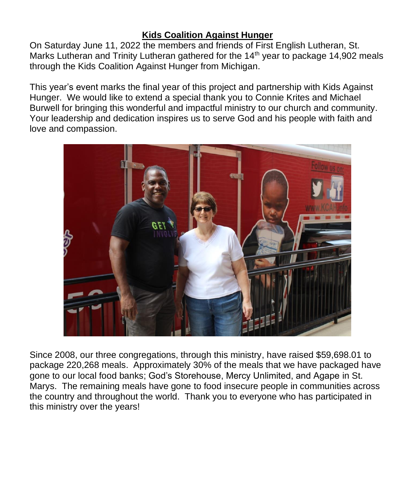#### **Kids Coalition Against Hunger**

On Saturday June 11, 2022 the members and friends of First English Lutheran, St. Marks Lutheran and Trinity Lutheran gathered for the  $14<sup>th</sup>$  year to package 14,902 meals through the Kids Coalition Against Hunger from Michigan.

This year's event marks the final year of this project and partnership with Kids Against Hunger. We would like to extend a special thank you to Connie Krites and Michael Burwell for bringing this wonderful and impactful ministry to our church and community. Your leadership and dedication inspires us to serve God and his people with faith and love and compassion.



Since 2008, our three congregations, through this ministry, have raised \$59,698.01 to package 220,268 meals. Approximately 30% of the meals that we have packaged have gone to our local food banks; God's Storehouse, Mercy Unlimited, and Agape in St. Marys. The remaining meals have gone to food insecure people in communities across the country and throughout the world. Thank you to everyone who has participated in this ministry over the years!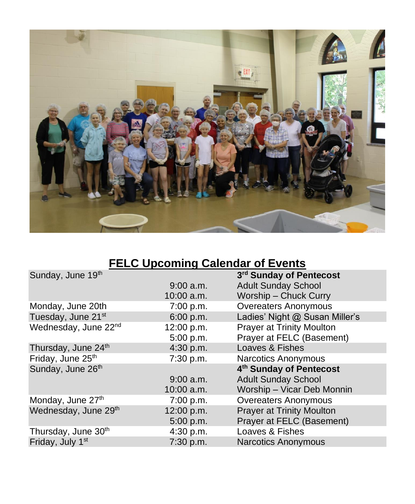

# **FELC Upcoming Calendar of Events**

|              | 3rd Sunday of Pentecost          |
|--------------|----------------------------------|
| $9:00$ a.m.  | <b>Adult Sunday School</b>       |
| $10:00$ a.m. | Worship - Chuck Curry            |
| 7:00 p.m.    | <b>Overeaters Anonymous</b>      |
| 6:00 p.m.    | Ladies' Night @ Susan Miller's   |
| 12:00 p.m.   | <b>Prayer at Trinity Moulton</b> |
| 5:00 p.m.    | Prayer at FELC (Basement)        |
| 4:30 p.m.    | Loaves & Fishes                  |
| 7:30 p.m.    | <b>Narcotics Anonymous</b>       |
|              | 4th Sunday of Pentecost          |
| $9:00$ a.m.  | <b>Adult Sunday School</b>       |
| $10:00$ a.m. | Worship - Vicar Deb Monnin       |
| 7:00 p.m.    | <b>Overeaters Anonymous</b>      |
| 12:00 p.m.   | <b>Prayer at Trinity Moulton</b> |
| 5:00 p.m.    | Prayer at FELC (Basement)        |
| 4:30 p.m.    | Loaves & Fishes                  |
| 7:30 p.m.    | <b>Narcotics Anonymous</b>       |
|              |                                  |